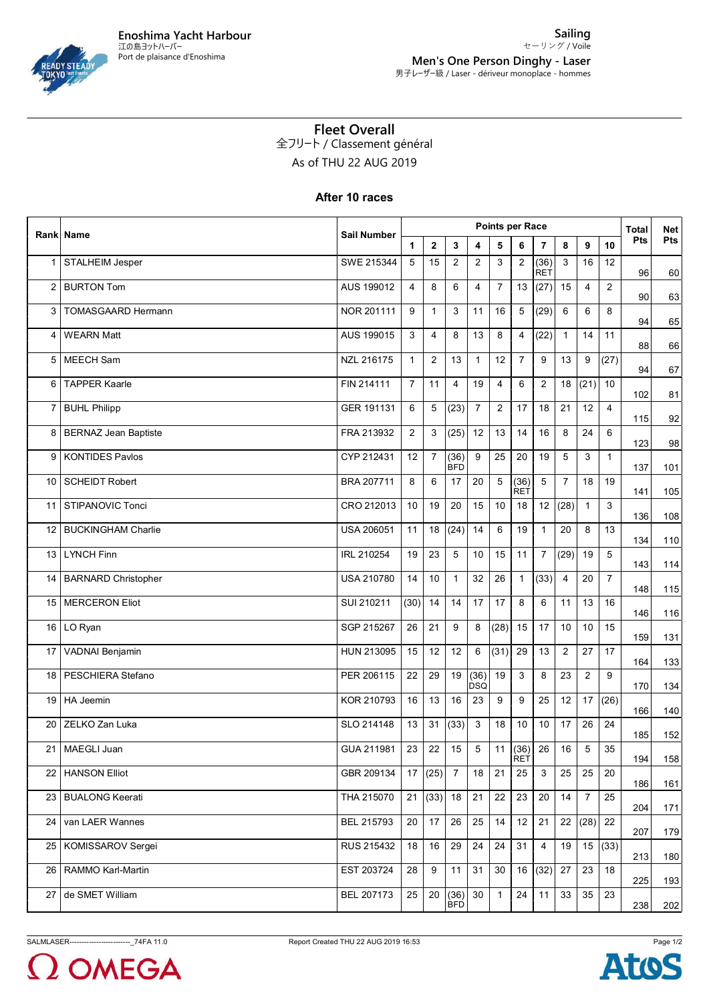## **Fleet Overall** 全フリート / Classement général

As of THU 22 AUG 2019

## **After 10 races**

|                   | <b>Rank Name</b>            | Sail Number | Points per Race |                |                    |                    |                |                      |                    |                |                |                |     | <b>Net</b> |
|-------------------|-----------------------------|-------------|-----------------|----------------|--------------------|--------------------|----------------|----------------------|--------------------|----------------|----------------|----------------|-----|------------|
|                   |                             |             | $\mathbf{1}$    | $\mathbf{2}$   | 3                  | 4                  | 5              | 6                    | 7                  | 8              | 9              | 10             | Pts | Pts        |
| 1                 | STALHEIM Jesper             | SWE 215344  | 5               | 15             | 2                  | $\overline{2}$     | 3              | 2                    | (36)<br><b>RET</b> | 3              | 16             | 12             | 96  | 60         |
| 2                 | <b>BURTON Tom</b>           | AUS 199012  | $\overline{4}$  | 8              | 6                  | 4                  | $\overline{7}$ | 13                   | (27)               | 15             | $\overline{4}$ | 2              | 90  | 63         |
| 3                 | <b>TOMASGAARD Hermann</b>   | NOR 201111  | 9               | $\mathbf{1}$   | 3                  | 11                 | 16             | 5                    | (29)               | 6              | 6              | 8              | 94  | 65         |
| 4                 | <b>WEARN Matt</b>           | AUS 199015  | 3               | 4              | 8                  | 13                 | 8              | 4                    | (22)               | $\mathbf{1}$   | 14             | 11             | 88  | 66         |
| 5                 | <b>MEECH Sam</b>            | NZL 216175  | $\mathbf{1}$    | 2              | 13                 | $\mathbf{1}$       | 12             | $\overline{7}$       | 9                  | 13             | 9              | (27)           | 94  | 67         |
| 6                 | <b>TAPPER Kaarle</b>        | FIN 214111  | $\overline{7}$  | 11             | $\overline{4}$     | 19                 | 4              | 6                    | $\overline{2}$     | 18             | (21)           | 10             | 102 | 81         |
| 7                 | <b>BUHL Philipp</b>         | GER 191131  | 6               | 5              | (23)               | $\overline{7}$     | $\overline{2}$ | 17                   | 18                 | 21             | 12             | $\overline{4}$ | 115 | 92         |
| 8                 | <b>BERNAZ Jean Baptiste</b> | FRA 213932  | $\overline{2}$  | 3              | (25)               | 12                 | 13             | 14                   | 16                 | 8              | 24             | 6              | 123 | 98         |
| 9                 | <b>KONTIDES Pavlos</b>      | CYP 212431  | 12              | $\overline{7}$ | (36)<br><b>BFD</b> | 9                  | 25             | 20                   | 19                 | 5              | 3              | $\mathbf{1}$   | 137 | 101        |
| 10                | <b>SCHEIDT Robert</b>       | BRA 207711  | 8               | 6              | 17                 | 20                 | 5              | (36)<br><b>RET</b>   | 5                  | $\overline{7}$ | 18             | 19             | 141 | 105        |
| 11                | STIPANOVIC Tonci            | CRO 212013  | 10              | 19             | 20                 | 15                 | 10             | 18                   | 12                 | (28)           | $\mathbf{1}$   | 3              | 136 | 108        |
| $12 \overline{ }$ | <b>BUCKINGHAM Charlie</b>   | USA 206051  | 11              | 18             | (24)               | 14                 | 6              | 19                   | $\mathbf{1}$       | 20             | 8              | 13             | 134 | 110        |
| 13                | <b>LYNCH Finn</b>           | IRL 210254  | 19              | 23             | 5                  | 10                 | 15             | 11                   | $\overline{7}$     | (29)           | 19             | 5              | 143 | 114        |
| 14                | <b>BARNARD Christopher</b>  | USA 210780  | 14              | 10             | $\mathbf{1}$       | 32                 | 26             | $\mathbf{1}$         | (33)               | $\overline{4}$ | 20             | $\overline{7}$ | 148 | 115        |
| 15                | <b>MERCERON Eliot</b>       | SUI 210211  | (30)            | 14             | 14                 | 17                 | 17             | 8                    | 6                  | 11             | 13             | 16             | 146 | 116        |
|                   | 16 LO Ryan                  | SGP 215267  | 26              | 21             | 9                  | 8                  | (28)           | 15                   | 17                 | 10             | 10             | 15             | 159 | 131        |
| 17                | VADNAI Benjamin             | HUN 213095  | 15              | 12             | 12                 | 6                  | (31)           | 29                   | 13                 | $\overline{2}$ | 27             | 17             | 164 | 133        |
| 18                | PESCHIERA Stefano           | PER 206115  | 22              | 29             | 19                 | (36)<br><b>DSQ</b> | 19             | 3                    | 8                  | 23             | $\overline{2}$ | 9              | 170 | 134        |
| 19                | <b>HA Jeemin</b>            | KOR 210793  | 16              | 13             | 16                 | 23                 | 9              | 9                    | 25                 | 12             | 17             | (26)           | 166 | 140        |
| 20                | ZELKO Zan Luka              | SLO 214148  | 13              | 31             | (33)               | 3                  | 18             | 10                   | 10                 | 17             | 26             | 24             | 185 | 152        |
|                   | 21 MAEGLI Juan              | GUA 211981  | 23              | 22             | 15                 | $\overline{5}$     |                | 11(36)<br><b>RET</b> | 26                 | 16             | $\mathbf 5$    | 35             | 194 | 158        |
| 22                | <b>HANSON Elliot</b>        | GBR 209134  |                 | 17(25)         | $\overline{7}$     | 18                 | 21             | 25                   | 3                  | 25             | 25             | 20             | 186 | 161        |
| 23                | <b>BUALONG Keerati</b>      | THA 215070  | 21              | (33)           | 18                 | 21                 | 22             | 23                   | 20                 | 14             | $\overline{7}$ | 25             | 204 | 171        |
| 24                | van LAER Wannes             | BEL 215793  | 20              | 17             | 26                 | 25                 | 14             | 12                   | 21                 | 22             | (28)           | 22             | 207 | 179        |
| 25                | KOMISSAROV Sergei           | RUS 215432  | 18              | 16             | 29                 | 24                 | 24             | 31                   | 4                  | 19             | 15             | (33)           | 213 | 180        |
| 26                | <b>RAMMO Karl-Martin</b>    | EST 203724  | 28              | 9              | 11                 | 31                 | 30             | 16                   | (32)               | 27             | 23             | 18             | 225 | 193        |
| 27                | de SMET William             | BEL 207173  | 25              | 20             | (36)<br><b>BFD</b> | 30                 | $\mathbf{1}$   | 24                   | 11                 | 33             | 35             | 23             | 238 | 202        |



 $\Omega$  OMEGA